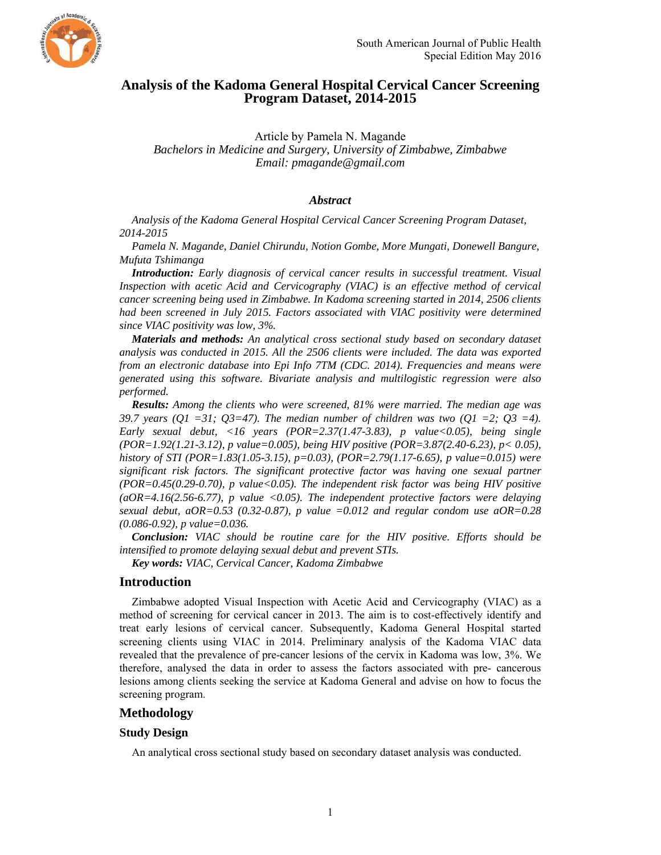

# **Analysis of the Kadoma General Hospital Cervical Cancer Screening Program Dataset, 2014-2015**

Article by Pamela N. Magande *Bachelors in Medicine and Surgery, University of Zimbabwe, Zimbabwe Email: pmagande@gmail.com* 

## *Abstract*

*Analysis of the Kadoma General Hospital Cervical Cancer Screening Program Dataset, 2014-2015* 

*Pamela N. Magande, Daniel Chirundu, Notion Gombe, More Mungati, Donewell Bangure, Mufuta Tshimanga* 

*Introduction: Early diagnosis of cervical cancer results in successful treatment. Visual Inspection with acetic Acid and Cervicography (VIAC) is an effective method of cervical cancer screening being used in Zimbabwe. In Kadoma screening started in 2014, 2506 clients had been screened in July 2015. Factors associated with VIAC positivity were determined since VIAC positivity was low, 3%.* 

*Materials and methods: An analytical cross sectional study based on secondary dataset analysis was conducted in 2015. All the 2506 clients were included. The data was exported from an electronic database into Epi Info 7TM (CDC. 2014). Frequencies and means were generated using this software. Bivariate analysis and multilogistic regression were also performed.* 

*Results: Among the clients who were screened, 81% were married. The median age was 39.7 years (O1 =31; O3=47). The median number of children was two (O1 =2; O3 =4). Early sexual debut, <16 years (POR=2.37(1.47-3.83), p value<0.05), being single (POR=1.92(1.21-3.12), p value=0.005), being HIV positive (POR=3.87(2.40-6.23), p< 0.05), history of STI (POR=1.83(1.05-3.15), p=0.03), (POR=2.79(1.17-6.65), p value=0.015) were significant risk factors. The significant protective factor was having one sexual partner (POR=0.45(0.29-0.70), p value<0.05). The independent risk factor was being HIV positive (aOR=4.16(2.56-6.77), p value <0.05). The independent protective factors were delaying sexual debut, aOR=0.53 (0.32-0.87), p value =0.012 and regular condom use aOR=0.28 (0.086-0.92), p value=0.036.* 

*Conclusion: VIAC should be routine care for the HIV positive. Efforts should be intensified to promote delaying sexual debut and prevent STIs.* 

*Key words: VIAC, Cervical Cancer, Kadoma Zimbabwe* 

# **Introduction**

Zimbabwe adopted Visual Inspection with Acetic Acid and Cervicography (VIAC) as a method of screening for cervical cancer in 2013. The aim is to cost-effectively identify and treat early lesions of cervical cancer. Subsequently, Kadoma General Hospital started screening clients using VIAC in 2014. Preliminary analysis of the Kadoma VIAC data revealed that the prevalence of pre-cancer lesions of the cervix in Kadoma was low, 3%. We therefore, analysed the data in order to assess the factors associated with pre- cancerous lesions among clients seeking the service at Kadoma General and advise on how to focus the screening program.

# **Methodology**

#### **Study Design**

An analytical cross sectional study based on secondary dataset analysis was conducted.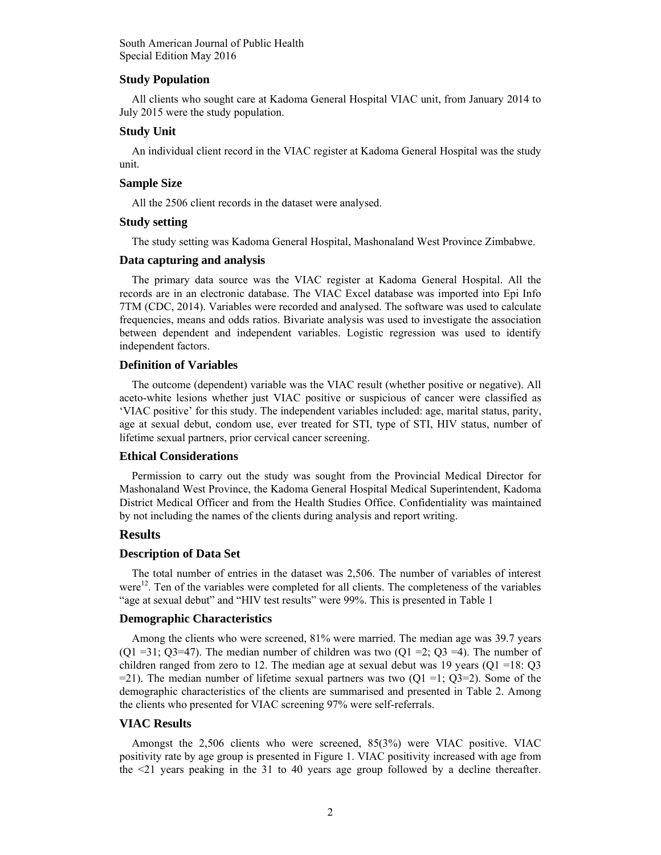### **Study Population**

All clients who sought care at Kadoma General Hospital VIAC unit, from January 2014 to July 2015 were the study population.

## **Study Unit**

An individual client record in the VIAC register at Kadoma General Hospital was the study unit.

## **Sample Size**

All the 2506 client records in the dataset were analysed.

#### **Study setting**

The study setting was Kadoma General Hospital, Mashonaland West Province Zimbabwe.

## **Data capturing and analysis**

The primary data source was the VIAC register at Kadoma General Hospital. All the records are in an electronic database. The VIAC Excel database was imported into Epi Info 7TM (CDC, 2014). Variables were recorded and analysed. The software was used to calculate frequencies, means and odds ratios. Bivariate analysis was used to investigate the association between dependent and independent variables. Logistic regression was used to identify independent factors.

### **Definition of Variables**

The outcome (dependent) variable was the VIAC result (whether positive or negative). All aceto-white lesions whether just VIAC positive or suspicious of cancer were classified as 'VIAC positive' for this study. The independent variables included: age, marital status, parity, age at sexual debut, condom use, ever treated for STI, type of STI, HIV status, number of lifetime sexual partners, prior cervical cancer screening.

# **Ethical Considerations**

Permission to carry out the study was sought from the Provincial Medical Director for Mashonaland West Province, the Kadoma General Hospital Medical Superintendent, Kadoma District Medical Officer and from the Health Studies Office. Confidentiality was maintained by not including the names of the clients during analysis and report writing.

# **Results**

## **Description of Data Set**

The total number of entries in the dataset was 2,506. The number of variables of interest were<sup>12</sup>. Ten of the variables were completed for all clients. The completeness of the variables "age at sexual debut" and "HIV test results" were 99%. This is presented in Table 1

### **Demographic Characteristics**

Among the clients who were screened, 81% were married. The median age was 39.7 years  $(Q1 = 31; Q3 = 47)$ . The median number of children was two  $(Q1 = 2; Q3 = 4)$ . The number of children ranged from zero to 12. The median age at sexual debut was 19 years ( $Q1 = 18: Q3$ )  $=$  21). The median number of lifetime sexual partners was two  $(Q1 = 1; Q3 = 2)$ . Some of the demographic characteristics of the clients are summarised and presented in Table 2. Among the clients who presented for VIAC screening 97% were self-referrals.

### **VIAC Results**

Amongst the 2,506 clients who were screened, 85(3%) were VIAC positive. VIAC positivity rate by age group is presented in Figure 1. VIAC positivity increased with age from the <21 years peaking in the 31 to 40 years age group followed by a decline thereafter.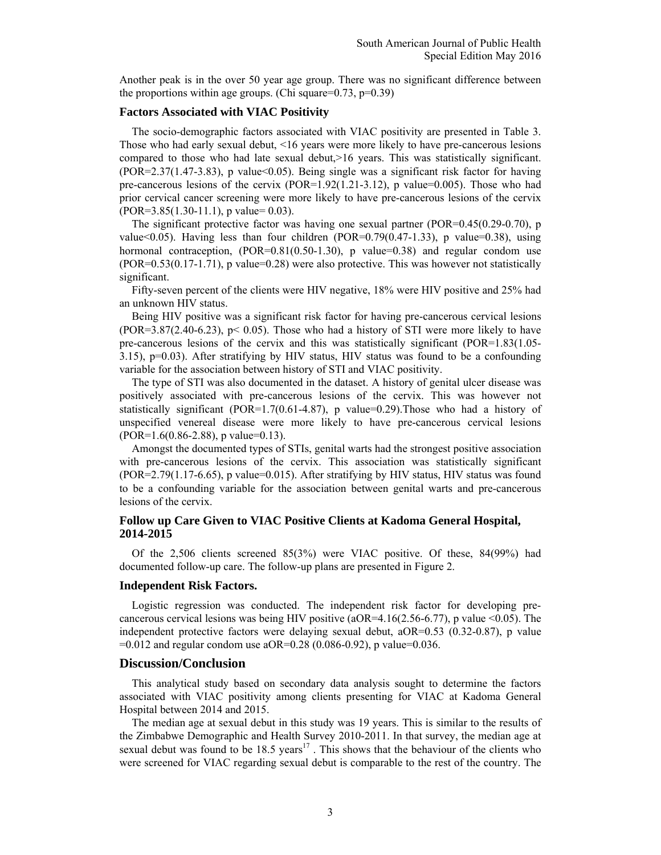Another peak is in the over 50 year age group. There was no significant difference between the proportions within age groups. (Chi square= $0.73$ , p= $0.39$ )

# **Factors Associated with VIAC Positivity**

The socio-demographic factors associated with VIAC positivity are presented in Table 3. Those who had early sexual debut, <16 years were more likely to have pre-cancerous lesions compared to those who had late sexual debut,>16 years. This was statistically significant. (POR=2.37(1.47-3.83), p value<0.05). Being single was a significant risk factor for having pre-cancerous lesions of the cervix  $(POR=1.92(1.21-3.12))$ , p value=0.005). Those who had prior cervical cancer screening were more likely to have pre-cancerous lesions of the cervix  $(POR=3.85(1.30-11.1), p value=0.03)$ .

The significant protective factor was having one sexual partner (POR=0.45(0.29-0.70), p value<0.05). Having less than four children (POR=0.79(0.47-1.33), p value=0.38), using hormonal contraception,  $(POR=0.81(0.50-1.30))$ , p value=0.38) and regular condom use (POR=0.53(0.17-1.71), p value=0.28) were also protective. This was however not statistically significant.

Fifty-seven percent of the clients were HIV negative, 18% were HIV positive and 25% had an unknown HIV status.

Being HIV positive was a significant risk factor for having pre-cancerous cervical lesions  $(POR=3.87(2.40-6.23), p< 0.05)$ . Those who had a history of STI were more likely to have pre-cancerous lesions of the cervix and this was statistically significant (POR=1.83(1.05- 3.15), p=0.03). After stratifying by HIV status, HIV status was found to be a confounding variable for the association between history of STI and VIAC positivity.

The type of STI was also documented in the dataset. A history of genital ulcer disease was positively associated with pre-cancerous lesions of the cervix. This was however not statistically significant (POR=1.7(0.61-4.87), p value=0.29). Those who had a history of unspecified venereal disease were more likely to have pre-cancerous cervical lesions  $(POR=1.6(0.86-2.88), p value=0.13)$ .

Amongst the documented types of STIs, genital warts had the strongest positive association with pre-cancerous lesions of the cervix. This association was statistically significant (POR=2.79(1.17-6.65), p value=0.015). After stratifying by HIV status, HIV status was found to be a confounding variable for the association between genital warts and pre-cancerous lesions of the cervix.

### **Follow up Care Given to VIAC Positive Clients at Kadoma General Hospital, 2014-2015**

Of the 2,506 clients screened 85(3%) were VIAC positive. Of these, 84(99%) had documented follow-up care. The follow-up plans are presented in Figure 2.

#### **Independent Risk Factors.**

Logistic regression was conducted. The independent risk factor for developing precancerous cervical lesions was being HIV positive ( $aOR=4.16(2.56-6.77)$ , p value <0.05). The independent protective factors were delaying sexual debut, aOR=0.53 (0.32-0.87), p value  $=0.012$  and regular condom use aOR=0.28 (0.086-0.92), p value=0.036.

### **Discussion/Conclusion**

This analytical study based on secondary data analysis sought to determine the factors associated with VIAC positivity among clients presenting for VIAC at Kadoma General Hospital between 2014 and 2015.

The median age at sexual debut in this study was 19 years. This is similar to the results of the Zimbabwe Demographic and Health Survey 2010-2011. In that survey, the median age at sexual debut was found to be  $18.5$  years<sup>17</sup>. This shows that the behaviour of the clients who were screened for VIAC regarding sexual debut is comparable to the rest of the country. The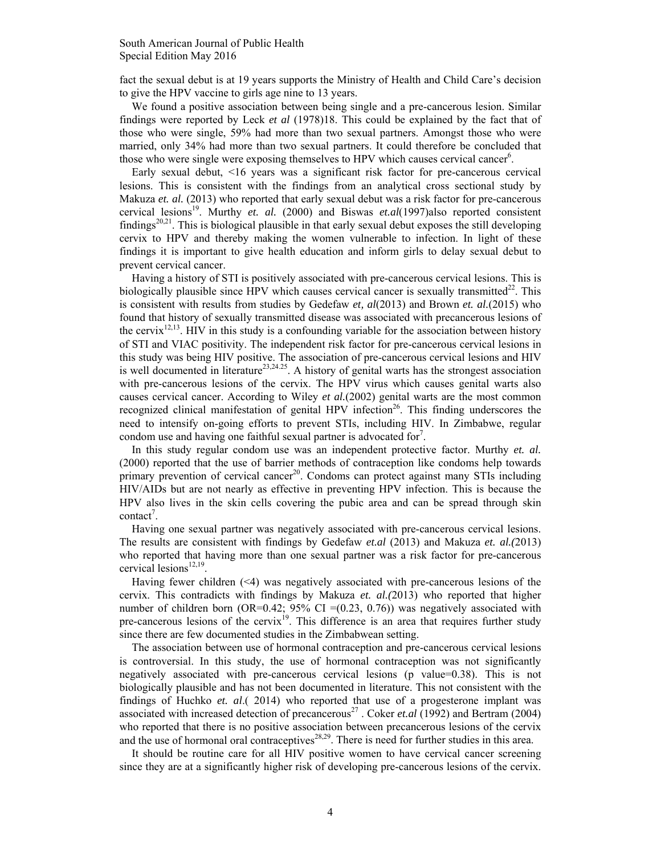fact the sexual debut is at 19 years supports the Ministry of Health and Child Care's decision to give the HPV vaccine to girls age nine to 13 years.

We found a positive association between being single and a pre-cancerous lesion. Similar findings were reported by Leck *et al* (1978)18. This could be explained by the fact that of those who were single, 59% had more than two sexual partners. Amongst those who were married, only 34% had more than two sexual partners. It could therefore be concluded that those who were single were exposing themselves to HPV which causes cervical cancer<sup>6</sup>.

Early sexual debut, <16 years was a significant risk factor for pre-cancerous cervical lesions. This is consistent with the findings from an analytical cross sectional study by Makuza *et. al.* (2013) who reported that early sexual debut was a risk factor for pre-cancerous cervical lesions<sup>19</sup>. Murthy *et. al.* (2000) and Biswas *et.al*(1997)also reported consistent findings<sup>20,21</sup>. This is biological plausible in that early sexual debut exposes the still developing cervix to HPV and thereby making the women vulnerable to infection. In light of these findings it is important to give health education and inform girls to delay sexual debut to prevent cervical cancer.

Having a history of STI is positively associated with pre-cancerous cervical lesions. This is biologically plausible since HPV which causes cervical cancer is sexually transmitted<sup>22</sup>. This is consistent with results from studies by Gedefaw *et, al*(2013) and Brown *et. al.*(2015) who found that history of sexually transmitted disease was associated with precancerous lesions of the cervix<sup>12,13</sup>. HIV in this study is a confounding variable for the association between history of STI and VIAC positivity. The independent risk factor for pre-cancerous cervical lesions in this study was being HIV positive. The association of pre-cancerous cervical lesions and HIV is well documented in literature<sup>23,24.25</sup>. A history of genital warts has the strongest association with pre-cancerous lesions of the cervix. The HPV virus which causes genital warts also causes cervical cancer. According to Wiley *et al.*(2002) genital warts are the most common recognized clinical manifestation of genital HPV infection<sup>26</sup>. This finding underscores the need to intensify on-going efforts to prevent STIs, including HIV. In Zimbabwe, regular condom use and having one faithful sexual partner is advocated for<sup>7</sup>.

In this study regular condom use was an independent protective factor. Murthy *et. al.*  (2000) reported that the use of barrier methods of contraception like condoms help towards primary prevention of cervical cancer<sup>20</sup>. Condoms can protect against many STIs including HIV/AIDs but are not nearly as effective in preventing HPV infection. This is because the HPV also lives in the skin cells covering the pubic area and can be spread through skin  $contact<sup>7</sup>$ .

Having one sexual partner was negatively associated with pre-cancerous cervical lesions. The results are consistent with findings by Gedefaw *et.al* (2013) and Makuza *et. al.(*2013) who reported that having more than one sexual partner was a risk factor for pre-cancerous cervical lesions<sup>12,19</sup>.

Having fewer children  $(\leq 4)$  was negatively associated with pre-cancerous lesions of the cervix. This contradicts with findings by Makuza *et. al.(*2013) who reported that higher number of children born (OR=0.42;  $95\%$  CI =(0.23, 0.76)) was negatively associated with pre-cancerous lesions of the cervix<sup>19</sup>. This difference is an area that requires further study since there are few documented studies in the Zimbabwean setting.

The association between use of hormonal contraception and pre-cancerous cervical lesions is controversial. In this study, the use of hormonal contraception was not significantly negatively associated with pre-cancerous cervical lesions (p value=0.38). This is not biologically plausible and has not been documented in literature. This not consistent with the findings of Huchko *et. al*.( 2014) who reported that use of a progesterone implant was associated with increased detection of precancerous<sup>27</sup>. Coker *et.al* (1992) and Bertram (2004) who reported that there is no positive association between precancerous lesions of the cervix and the use of hormonal oral contraceptives $28,29$ . There is need for further studies in this area.

It should be routine care for all HIV positive women to have cervical cancer screening since they are at a significantly higher risk of developing pre-cancerous lesions of the cervix.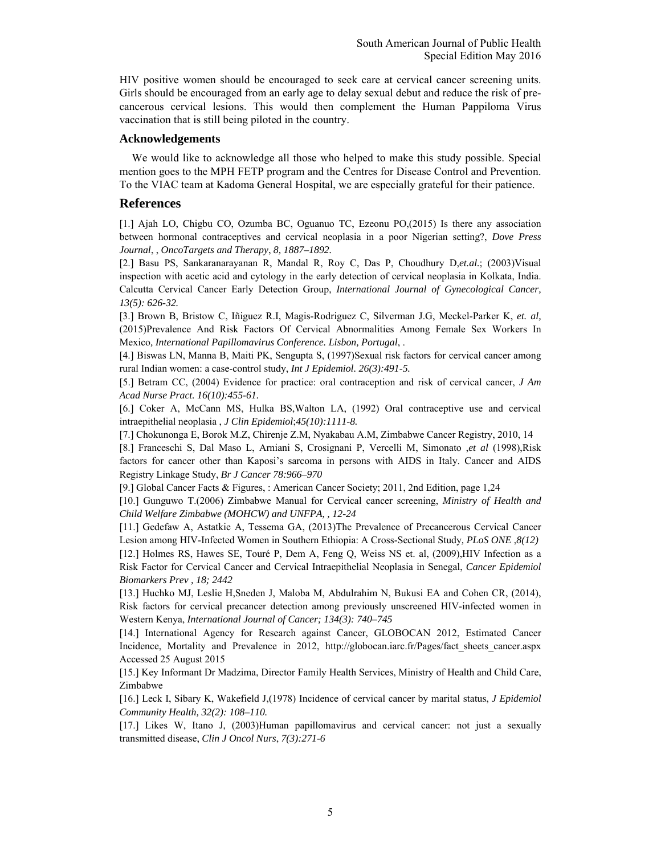HIV positive women should be encouraged to seek care at cervical cancer screening units. Girls should be encouraged from an early age to delay sexual debut and reduce the risk of precancerous cervical lesions. This would then complement the Human Pappiloma Virus vaccination that is still being piloted in the country.

### **Acknowledgements**

We would like to acknowledge all those who helped to make this study possible. Special mention goes to the MPH FETP program and the Centres for Disease Control and Prevention. To the VIAC team at Kadoma General Hospital, we are especially grateful for their patience.

# **References**

[1.] Ajah LO, Chigbu CO, Ozumba BC, Oguanuo TC, Ezeonu PO,(2015) Is there any association between hormonal contraceptives and cervical neoplasia in a poor Nigerian setting?, *Dove Press Journal*, , *OncoTargets and Therapy*, *8, 1887–1892.*

[2.] Basu PS, Sankaranarayanan R, Mandal R, Roy C, Das P, Choudhury D,*et.al.*; (2003)Visual inspection with acetic acid and cytology in the early detection of cervical neoplasia in Kolkata, India. Calcutta Cervical Cancer Early Detection Group, *International Journal of Gynecological Cancer, 13(5): 626-32.* 

[3.] Brown B, Bristow C, Iñiguez R.I, Magis-Rodriguez C, Silverman J.G, Meckel-Parker K, *et. al,*  (2015)Prevalence And Risk Factors Of Cervical Abnormalities Among Female Sex Workers In Mexico*, International Papillomavirus Conference. Lisbon, Portugal*, .

[4.] Biswas LN, Manna B, Maiti PK, Sengupta S, (1997)Sexual risk factors for cervical cancer among rural Indian women: a case-control study, *Int J Epidemiol. 26(3):491-5.* 

[5.] Betram CC, (2004) Evidence for practice: oral contraception and risk of cervical cancer, *J Am Acad Nurse Pract. 16(10):455-61.* 

[6.] Coker A, McCann MS, Hulka BS,Walton LA, (1992) Oral contraceptive use and cervical intraepithelial neoplasia , *J Clin Epidemiol*;*45(10):1111-8.* 

[7.] Chokunonga E, Borok M.Z, Chirenje Z.M, Nyakabau A.M, Zimbabwe Cancer Registry, 2010, 14

[8.] Franceschi S, Dal Maso L, Arniani S, Crosignani P, Vercelli M, Simonato ,*et al* (1998),Risk factors for cancer other than Kaposi's sarcoma in persons with AIDS in Italy. Cancer and AIDS Registry Linkage Study, *Br J Cancer 78:966–970* 

[9.] Global Cancer Facts & Figures, : American Cancer Society; 2011, 2nd Edition, page 1,24

[10.] Gunguwo T.(2006) Zimbabwe Manual for Cervical cancer screening, *Ministry of Health and Child Welfare Zimbabwe (MOHCW) and UNFPA, , 12-24* 

[11.] Gedefaw A, Astatkie A, Tessema GA, (2013)The Prevalence of Precancerous Cervical Cancer Lesion among HIV-Infected Women in Southern Ethiopia: A Cross-Sectional Study*, PLoS ONE* ,*8(12)*  [12.] Holmes RS, Hawes SE, Touré P, Dem A, Feng Q, Weiss NS et. al, (2009),HIV Infection as a Risk Factor for Cervical Cancer and Cervical Intraepithelial Neoplasia in Senegal, *Cancer Epidemiol* 

*Biomarkers Prev , 18; 2442*

[13.] Huchko MJ, Leslie H,Sneden J, Maloba M, Abdulrahim N, Bukusi EA and Cohen CR, (2014), Risk factors for cervical precancer detection among previously unscreened HIV-infected women in Western Kenya, *International Journal of Cancer; 134(3): 740–745* 

[14.] International Agency for Research against Cancer, GLOBOCAN 2012, Estimated Cancer Incidence, Mortality and Prevalence in 2012, http://globocan.iarc.fr/Pages/fact\_sheets\_cancer.aspx Accessed 25 August 2015

[15.] Key Informant Dr Madzima, Director Family Health Services, Ministry of Health and Child Care, Zimbabwe

[16.] Leck I, Sibary K, Wakefield J,(1978) Incidence of cervical cancer by marital status, *J Epidemiol Community Health, 32(2): 108–110.* 

[17.] Likes W, Itano J, (2003)Human papillomavirus and cervical cancer: not just a sexually transmitted disease, *Clin J Oncol Nurs*, *7(3):271-6*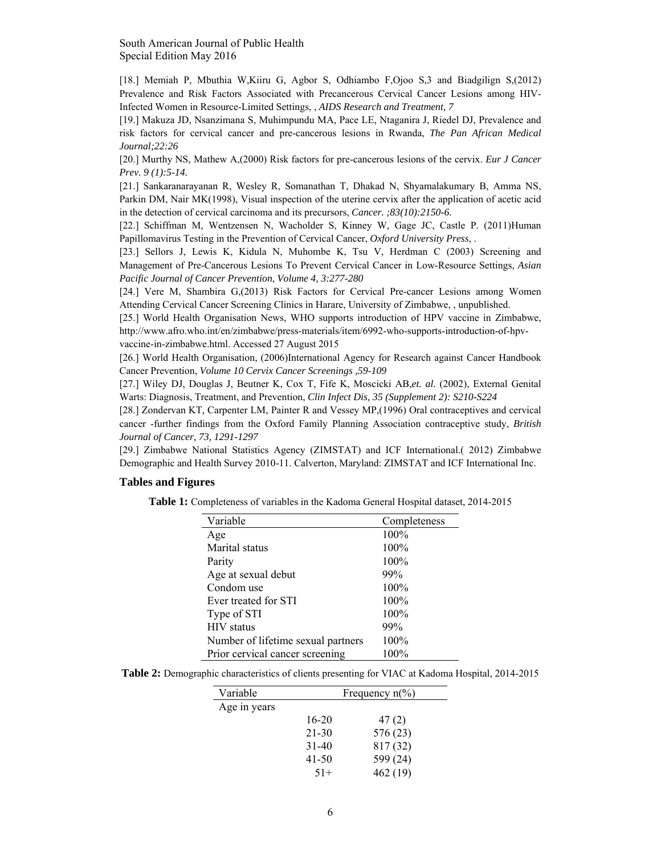[18.] Memiah P, Mbuthia W,Kiiru G, Agbor S, Odhiambo F,Ojoo S,3 and Biadgilign S,(2012) Prevalence and Risk Factors Associated with Precancerous Cervical Cancer Lesions among HIV-Infected Women in Resource-Limited Settings, , *AIDS Research and Treatment, 7* 

[19.] Makuza JD, Nsanzimana S, Muhimpundu MA, Pace LE, Ntaganira J, Riedel DJ, Prevalence and risk factors for cervical cancer and pre-cancerous lesions in Rwanda, *The Pan African Medical Journal;22:26* 

[20.] Murthy NS, Mathew A,(2000) Risk factors for pre-cancerous lesions of the cervix. *Eur J Cancer Prev. 9 (1):5-14.* 

[21.] Sankaranarayanan R, Wesley R, Somanathan T, Dhakad N, Shyamalakumary B, Amma NS, Parkin DM, Nair MK(1998), Visual inspection of the uterine cervix after the application of acetic acid in the detection of cervical carcinoma and its precursors, *Cancer. ;83(10):2150-6.* 

[22.] Schiffman M, Wentzensen N, Wacholder S, Kinney W, Gage JC, Castle P. (2011)Human Papillomavirus Testing in the Prevention of Cervical Cancer, *Oxford University Press*, .

[23.] Sellors J, Lewis K, Kidula N, Muhombe K, Tsu V, Herdman C (2003) Screening and Management of Pre-Cancerous Lesions To Prevent Cervical Cancer in Low-Resource Settings, *Asian Pacific Journal of Cancer Prevention*, *Volume 4, 3:277-280* 

[24.] Vere M, Shambira G,(2013) Risk Factors for Cervical Pre-cancer Lesions among Women Attending Cervical Cancer Screening Clinics in Harare, University of Zimbabwe, , unpublished.

[25.] World Health Organisation News, WHO supports introduction of HPV vaccine in Zimbabwe, http://www.afro.who.int/en/zimbabwe/press-materials/item/6992-who-supports-introduction-of-hpvvaccine-in-zimbabwe.html. Accessed 27 August 2015

[26.] World Health Organisation, (2006)International Agency for Research against Cancer Handbook Cancer Prevention, *Volume 10 Cervix Cancer Screenings ,59-109* 

[27.] Wiley DJ, Douglas J, Beutner K, Cox T, Fife K, Moscicki AB,*et. al.* (2002), External Genital Warts: Diagnosis, Treatment, and Prevention, *Clin Infect Dis, 35 (Supplement 2): S210-S224* 

[28.] Zondervan KT, Carpenter LM, Painter R and Vessey MP,(1996) Oral contraceptives and cervical cancer -further findings from the Oxford Family Planning Association contraceptive study, *British Journal of Cancer, 73, 1291-1297* 

[29.] Zimbabwe National Statistics Agency (ZIMSTAT) and ICF International.( 2012) Zimbabwe Demographic and Health Survey 2010-11. Calverton, Maryland: ZIMSTAT and ICF International Inc.

#### **Tables and Figures**

**Table 1:** Completeness of variables in the Kadoma General Hospital dataset, 2014-2015

| Variable                           | Completeness |
|------------------------------------|--------------|
| Age                                | 100%         |
| Marital status                     | 100%         |
| Parity                             | 100%         |
| Age at sexual debut                | 99%          |
| Condom use                         | 100%         |
| Ever treated for STI               | 100%         |
| Type of STI                        | 100%         |
| <b>HIV</b> status                  | 99%          |
| Number of lifetime sexual partners | 100%         |
| Prior cervical cancer screening    | 100%         |

**Table 2:** Demographic characteristics of clients presenting for VIAC at Kadoma Hospital, 2014-2015

| Variable     | Frequency $n\binom{0}{0}$ |          |  |
|--------------|---------------------------|----------|--|
| Age in years |                           |          |  |
|              | 16-20                     | 47(2)    |  |
|              | $21 - 30$                 | 576 (23) |  |
|              | $31 - 40$                 | 817(32)  |  |
|              | 41-50                     | 599 (24) |  |
|              | $51+$                     | 462 (19) |  |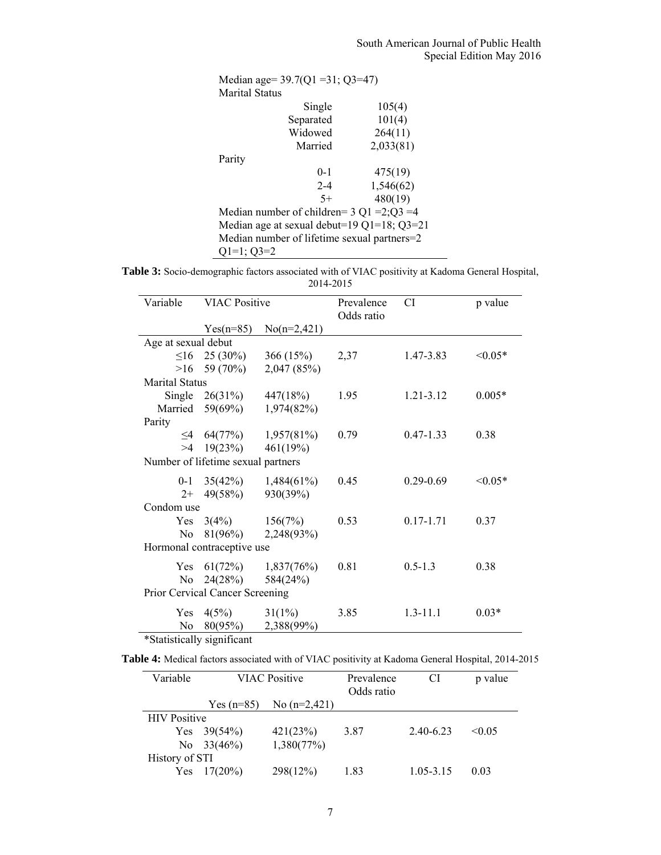| Median age= $39.7(Q1 = 31; Q3 = 47)$         |           |  |  |  |  |
|----------------------------------------------|-----------|--|--|--|--|
| Marital Status                               |           |  |  |  |  |
| Single                                       | 105(4)    |  |  |  |  |
| Separated                                    | 101(4)    |  |  |  |  |
| Widowed                                      | 264(11)   |  |  |  |  |
| Married                                      | 2,033(81) |  |  |  |  |
| Parity                                       |           |  |  |  |  |
| $0-1$                                        | 475(19)   |  |  |  |  |
| $2 - 4$                                      | 1,546(62) |  |  |  |  |
| $5+$                                         | 480(19)   |  |  |  |  |
| Median number of children= $3 Q1 = 2;Q3 = 4$ |           |  |  |  |  |
| Median age at sexual debut=19 Q1=18; Q3=21   |           |  |  |  |  |
| Median number of lifetime sexual partners=2  |           |  |  |  |  |
| $Q1=1; Q3=2$                                 |           |  |  |  |  |

**Table 3:** Socio-demographic factors associated with of VIAC positivity at Kadoma General Hospital, 2014-2015

| Variable                        | <b>VIAC Positive</b>               |               | Prevalence<br>Odds ratio | CI            | p value      |  |  |
|---------------------------------|------------------------------------|---------------|--------------------------|---------------|--------------|--|--|
|                                 | $Yes(n=85)$                        | $No(n=2,421)$ |                          |               |              |  |  |
| Age at sexual debut             |                                    |               |                          |               |              |  |  |
| $\leq$ 16                       | $25(30\%)$                         | 366(15%)      | 2,37                     | 1.47-3.83     | $< 0.05*$    |  |  |
| >16                             | 59 (70%)                           | 2,047 (85%)   |                          |               |              |  |  |
| <b>Marital Status</b>           |                                    |               |                          |               |              |  |  |
|                                 | Single $26(31\%)$                  | 447(18%)      | 1.95                     | 1.21-3.12     | $0.005*$     |  |  |
| Married                         | 59(69%)                            | 1,974(82%)    |                          |               |              |  |  |
| Parity                          |                                    |               |                          |               |              |  |  |
| $\leq$ 4                        | 64(77%)                            | $1,957(81\%)$ | 0.79                     | $0.47 - 1.33$ | 0.38         |  |  |
| >4                              | 19(23%)                            | 461(19%)      |                          |               |              |  |  |
|                                 | Number of lifetime sexual partners |               |                          |               |              |  |  |
| $0 - 1$                         | 35(42%)                            | $1,484(61\%)$ | 0.45                     | $0.29 - 0.69$ | $\leq 0.05*$ |  |  |
| $2+$                            | 49(58%)                            | 930(39%)      |                          |               |              |  |  |
|                                 | Condom use                         |               |                          |               |              |  |  |
| <b>Yes</b>                      | 3(4%)                              | 156(7%)       | 0.53                     | $0.17 - 1.71$ | 0.37         |  |  |
| N <sub>0</sub>                  | 81(96%)                            | 2,248(93%)    |                          |               |              |  |  |
| Hormonal contraceptive use      |                                    |               |                          |               |              |  |  |
| Yes                             | 61(72%)                            | 1,837(76%)    | 0.81                     | $0.5 - 1.3$   | 0.38         |  |  |
| N <sub>0</sub>                  | 24(28%)                            | 584(24%)      |                          |               |              |  |  |
| Prior Cervical Cancer Screening |                                    |               |                          |               |              |  |  |
| Yes                             | 4(5%)                              | $31(1\%)$     | 3.85                     | $1.3 - 11.1$  | $0.03*$      |  |  |
| N <sub>0</sub>                  | 80(95%)                            | 2,388(99%)    |                          |               |              |  |  |

\*Statistically significant

**Table 4:** Medical factors associated with of VIAC positivity at Kadoma General Hospital, 2014-2015

| Variable            | <b>VIAC Positive</b> |                | Prevalence<br>Odds ratio | CI        | p value |
|---------------------|----------------------|----------------|--------------------------|-----------|---------|
|                     | Yes $(n=85)$         | No $(n=2,421)$ |                          |           |         |
| <b>HIV</b> Positive |                      |                |                          |           |         |
|                     | Yes $39(54%)$        | 421(23%)       | 3.87                     | 2.40-6.23 | < 0.05  |
|                     | No $33(46%)$         | 1,380(77%)     |                          |           |         |
| History of STI      |                      |                |                          |           |         |
| Yes                 | $17(20\%)$           | 298(12%)       | 1.83                     | 1.05-3.15 | 0.03    |